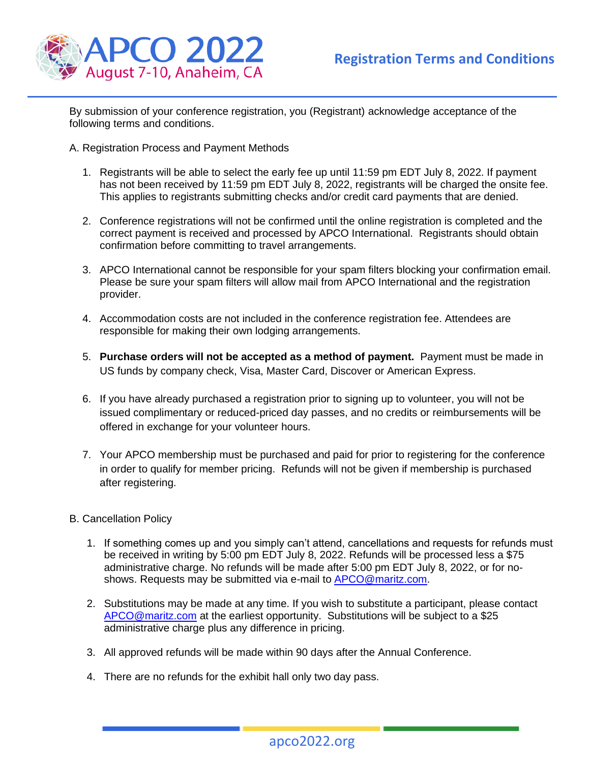

By submission of your conference registration, you (Registrant) acknowledge acceptance of the following terms and conditions.

A. Registration Process and Payment Methods

- 1. Registrants will be able to select the early fee up until 11:59 pm EDT July 8, 2022. If payment has not been received by 11:59 pm EDT July 8, 2022, registrants will be charged the onsite fee. This applies to registrants submitting checks and/or credit card payments that are denied.
- 2. Conference registrations will not be confirmed until the online registration is completed and the correct payment is received and processed by APCO International. Registrants should obtain confirmation before committing to travel arrangements.
- 3. APCO International cannot be responsible for your spam filters blocking your confirmation email. Please be sure your spam filters will allow mail from APCO International and the registration provider.
- 4. Accommodation costs are not included in the conference registration fee. Attendees are responsible for making their own lodging arrangements.
- 5. **Purchase orders will not be accepted as a method of payment.** Payment must be made in US funds by company check, Visa, Master Card, Discover or American Express.
- 6. If you have already purchased a registration prior to signing up to volunteer, you will not be issued complimentary or reduced-priced day passes, and no credits or reimbursements will be offered in exchange for your volunteer hours.
- 7. Your APCO membership must be purchased and paid for prior to registering for the conference in order to qualify for member pricing. Refunds will not be given if membership is purchased after registering.
- B. Cancellation Policy
	- 1. If something comes up and you simply can't attend, cancellations and requests for refunds must be received in writing by 5:00 pm EDT July 8, 2022. Refunds will be processed less a \$75 administrative charge. No refunds will be made after 5:00 pm EDT July 8, 2022, or for no-shows. Requests may be submitted via e-mail to [APCO@maritz.com.](mailto:APCO@maritz.com)
	- 2. Substitutions may be made at any time. If you wish to substitute a participant, please contact [APCO@maritz.com](mailto:APCO@maritz.com) at the earliest opportunity. Substitutions will be subject to a \$25 administrative charge plus any difference in pricing.
	- 3. All approved refunds will be made within 90 days after the Annual Conference.
	- 4. There are no refunds for the exhibit hall only two day pass.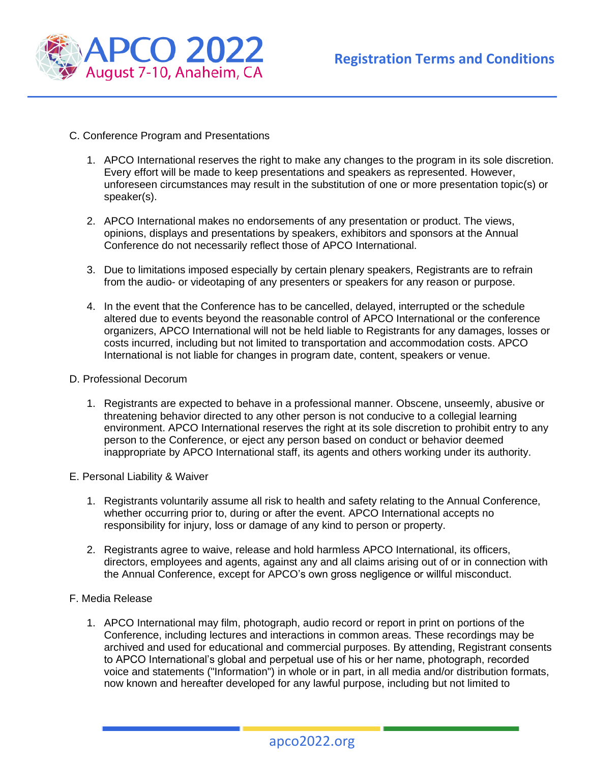

- C. Conference Program and Presentations
	- 1. APCO International reserves the right to make any changes to the program in its sole discretion. Every effort will be made to keep presentations and speakers as represented. However, unforeseen circumstances may result in the substitution of one or more presentation topic(s) or speaker(s).
	- 2. APCO International makes no endorsements of any presentation or product. The views, opinions, displays and presentations by speakers, exhibitors and sponsors at the Annual Conference do not necessarily reflect those of APCO International.
	- 3. Due to limitations imposed especially by certain plenary speakers, Registrants are to refrain from the audio- or videotaping of any presenters or speakers for any reason or purpose.
	- 4. In the event that the Conference has to be cancelled, delayed, interrupted or the schedule altered due to events beyond the reasonable control of APCO International or the conference organizers, APCO International will not be held liable to Registrants for any damages, losses or costs incurred, including but not limited to transportation and accommodation costs. APCO International is not liable for changes in program date, content, speakers or venue.
- D. Professional Decorum
	- 1. Registrants are expected to behave in a professional manner. Obscene, unseemly, abusive or threatening behavior directed to any other person is not conducive to a collegial learning environment. APCO International reserves the right at its sole discretion to prohibit entry to any person to the Conference, or eject any person based on conduct or behavior deemed inappropriate by APCO International staff, its agents and others working under its authority.
- E. Personal Liability & Waiver
	- 1. Registrants voluntarily assume all risk to health and safety relating to the Annual Conference, whether occurring prior to, during or after the event. APCO International accepts no responsibility for injury, loss or damage of any kind to person or property.
	- 2. Registrants agree to waive, release and hold harmless APCO International, its officers, directors, employees and agents, against any and all claims arising out of or in connection with the Annual Conference, except for APCO's own gross negligence or willful misconduct.
- F. Media Release
	- 1. APCO International may film, photograph, audio record or report in print on portions of the Conference, including lectures and interactions in common areas. These recordings may be archived and used for educational and commercial purposes. By attending, Registrant consents to APCO International's global and perpetual use of his or her name, photograph, recorded voice and statements ("Information") in whole or in part, in all media and/or distribution formats, now known and hereafter developed for any lawful purpose, including but not limited to